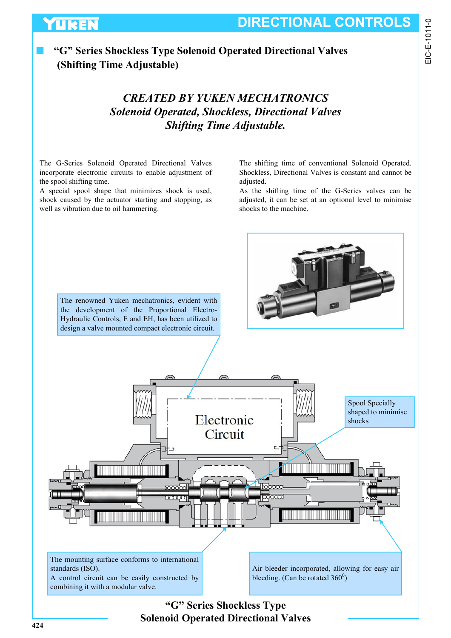EIC-E-1011-0

## ■ **"G" Series Shockless Type Solenoid Operated Directional Valves (Shifting Time Adjustable)**

## *CREATED BY YUKEN MECHATRONICS Solenoid Operated, Shockless, Directional Valves Shifting Time Adjustable.*

The G-Series Solenoid Operated Directional Valves incorporate electronic circuits to enable adjustment of the spool shifting time.

**UKEN** 

A special spool shape that minimizes shock is used, shock caused by the actuator starting and stopping, as well as vibration due to oil hammering.

The shifting time of conventional Solenoid Operated. Shockless, Directional Valves is constant and cannot be adjusted.

As the shifting time of the G-Series valves can be adjusted, it can be set at an optional level to minimise shocks to the machine.



**"G" Series Shockless Type Solenoid Operated Directional Valves**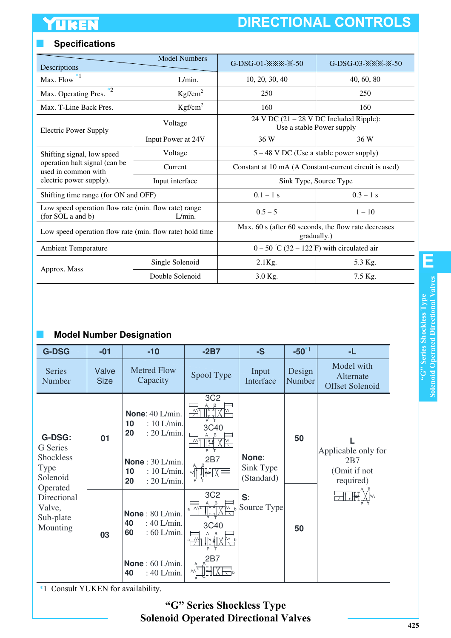# **DIRECTIONAL CONTROLS**

## ■ **Specifications**

| Descriptions                                                                    | <b>Model Numbers</b> | $G-DSG-01-XX-X-50$                                                                                                                                                                                                                                                                                                                                                       | $G-DSG-03-XX-X-50$ |  |  |  |
|---------------------------------------------------------------------------------|----------------------|--------------------------------------------------------------------------------------------------------------------------------------------------------------------------------------------------------------------------------------------------------------------------------------------------------------------------------------------------------------------------|--------------------|--|--|--|
| Max. Flow $*1$                                                                  | L/min.               | 10, 20, 30, 40                                                                                                                                                                                                                                                                                                                                                           | 40, 60, 80         |  |  |  |
| Max. Operating Pres.                                                            | Kgf/cm <sup>2</sup>  | 250                                                                                                                                                                                                                                                                                                                                                                      | 250                |  |  |  |
| Max. T-Line Back Pres.                                                          | Kgf/cm <sup>2</sup>  | 160                                                                                                                                                                                                                                                                                                                                                                      | 160                |  |  |  |
| <b>Electric Power Supply</b>                                                    | Voltage              | $24$ V DC $(21 – 28$ V DC Included Ripple):<br>Use a stable Power supply<br>36 W<br>36 W<br>$5 - 48$ V DC (Use a stable power supply)<br>Sink Type, Source Type<br>$0.1 - 1$ s<br>$0.3 - 1$ s<br>$0.5 - 5$<br>$1 - 10$<br>gradually.)<br>$0 - 50^{\circ}$ C (32 – 122 <sup><math>\circ</math></sup> F) with circulated air<br>$2.1$ Kg.<br>5.3 Kg.<br>7.5 Kg.<br>3.0 Kg. |                    |  |  |  |
|                                                                                 | Input Power at 24V   |                                                                                                                                                                                                                                                                                                                                                                          |                    |  |  |  |
| Shifting signal, low speed                                                      | Voltage              |                                                                                                                                                                                                                                                                                                                                                                          |                    |  |  |  |
| operation halt signal (can be<br>used in common with<br>electric power supply). | Current              | Constant at 10 mA (A Constant-current circuit is used)                                                                                                                                                                                                                                                                                                                   |                    |  |  |  |
|                                                                                 | Input interface      |                                                                                                                                                                                                                                                                                                                                                                          |                    |  |  |  |
| Shifting time range (for ON and OFF)                                            |                      |                                                                                                                                                                                                                                                                                                                                                                          |                    |  |  |  |
| Low speed operation flow rate (min. flow rate) range<br>(for SOL a and b)       | $L/min$ .            |                                                                                                                                                                                                                                                                                                                                                                          |                    |  |  |  |
| Low speed operation flow rate (min. flow rate) hold time                        |                      | Max. 60 s (after 60 seconds, the flow rate decreases                                                                                                                                                                                                                                                                                                                     |                    |  |  |  |
| <b>Ambient Temperature</b>                                                      |                      |                                                                                                                                                                                                                                                                                                                                                                          |                    |  |  |  |
|                                                                                 | Single Solenoid      |                                                                                                                                                                                                                                                                                                                                                                          |                    |  |  |  |
| Approx. Mass                                                                    | Double Solenoid      |                                                                                                                                                                                                                                                                                                                                                                          |                    |  |  |  |

#### ■ **Model Number Designation**

| <b>G-DSG</b>                                                             | $-01$                | $-10$                                                                                                                       | $-2B7$                                         | $-S$                             | $-50^{*1}$       | -L                                                      |
|--------------------------------------------------------------------------|----------------------|-----------------------------------------------------------------------------------------------------------------------------|------------------------------------------------|----------------------------------|------------------|---------------------------------------------------------|
| <b>Series</b><br>Number                                                  | Valve<br><b>Size</b> | <b>Metred Flow</b><br>Capacity                                                                                              | Spool Type                                     | Input<br>Interface               | Design<br>Number | Model with<br>Alternate<br><b>Offset Solenoid</b>       |
| <b>G-DSG:</b><br><b>G</b> Series<br>Shockless<br><b>Type</b><br>Solenoid | 01                   | None: 40 L/min.<br>$: 10$ L/min.<br>10<br>20<br>: 20 L/min.<br>None: $30 L/min$ .<br>: 10 L/min.<br>10<br>: 20 L/min.<br>20 | 3C <sub>2</sub><br>T<br>3C40<br>2B7<br>ĦХ<br>M | None:<br>Sink Type<br>(Standard) | 50               | Applicable only for<br>2B7<br>(Omit if not<br>required) |
| Operated<br>Directional<br>Valve,<br>Sub-plate<br>Mounting               | 03                   | None: $80$ L/min.<br>40<br>: $40$ L/min.<br>: 60 L/min.<br>60<br>None: $60$ L/min.<br>40<br>: 40 L/min.                     | 3C <sub>2</sub><br><u>TIXM</u><br>3C40<br>2B7  | S:<br>Source Type                | 50               |                                                         |

\*1 Consult YUKEN for availability.

### **"G" Series Shockless Type Solenoid Operated Directional Valves**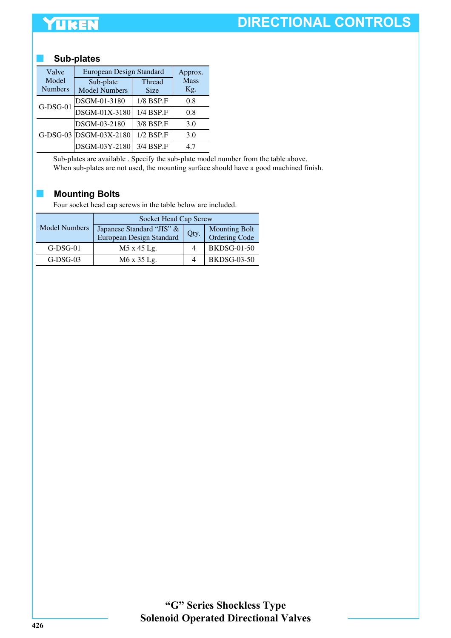# YUKEN

# **DIRECTIONAL CONTROLS**

#### ■ **Sub-plates**

| Valve<br>Model<br><b>Numbers</b> | European Design Standard<br>Sub-plate<br><b>Model Numbers</b> | Approx.<br><b>Mass</b><br>Kg. |     |
|----------------------------------|---------------------------------------------------------------|-------------------------------|-----|
| $G-DSG-01$                       | DSGM-01-3180                                                  | <b>Size</b><br>1/8 BSP.F      | 0.8 |
|                                  | DSGM-01X-3180                                                 | 1/4 BSP.F                     | 0.8 |
|                                  | DSGM-03-2180                                                  | 3/8 BSP.F                     | 3.0 |
|                                  | G-DSG-03 DSGM-03X-2180                                        | $1/2$ BSP.F                   | 3.0 |
|                                  | DSGM-03Y-2180                                                 | 3/4 BSP.F                     | 47  |

Sub-plates are available . Specify the sub-plate model number from the table above. When sub-plates are not used, the mounting surface should have a good machined finish.

#### ■ **Mounting Bolts**

Four socket head cap screws in the table below are included.

| <b>Model Numbers</b> | Socket Head Cap Screw     |      |                      |  |  |  |  |  |
|----------------------|---------------------------|------|----------------------|--|--|--|--|--|
|                      | Japanese Standard "JIS" & | Qty. | <b>Mounting Bolt</b> |  |  |  |  |  |
|                      | European Design Standard  |      | Ordering Code        |  |  |  |  |  |
| $G-DSG-01$           | M5 x 45 Lg.               |      | <b>BKDSG-01-50</b>   |  |  |  |  |  |
| $G-DSG-03$           | M6 x 35 Lg.               |      | <b>BKDSG-03-50</b>   |  |  |  |  |  |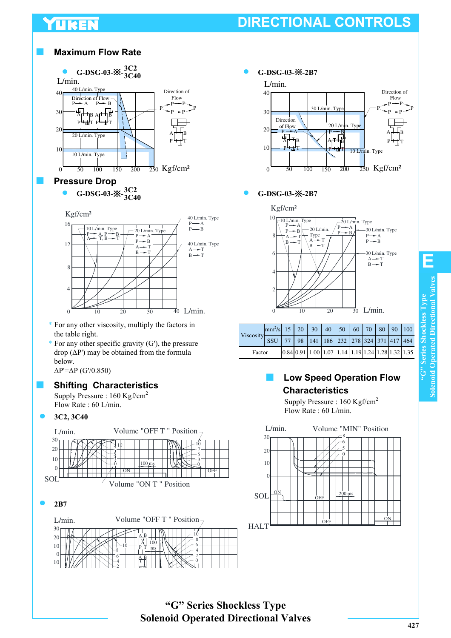# YUKEN

# **DIRECTIONAL CONTROLS**







| Viscosity SSU 77 98 141 186 232 278 324 371 417 464 | $\text{mm}^2\text{/s}$ 15   20   30   40   50   60   70   80   90   100 |  |  |                                                                                                                                |  |  |  |
|-----------------------------------------------------|-------------------------------------------------------------------------|--|--|--------------------------------------------------------------------------------------------------------------------------------|--|--|--|
|                                                     |                                                                         |  |  |                                                                                                                                |  |  |  |
| Factor                                              |                                                                         |  |  | $\left  0.84 \right  0.91 \left  1.00 \right  1.07 \left  1.14 \right  1.19 \left  1.24 \right  1.28 \left  1.32 \right  1.35$ |  |  |  |

### **Low Speed Operation Flow Characteristics**

Supply Pressure : 160 Kgf/cm<sup>2</sup> Flow Rate : 60 L/min.



P

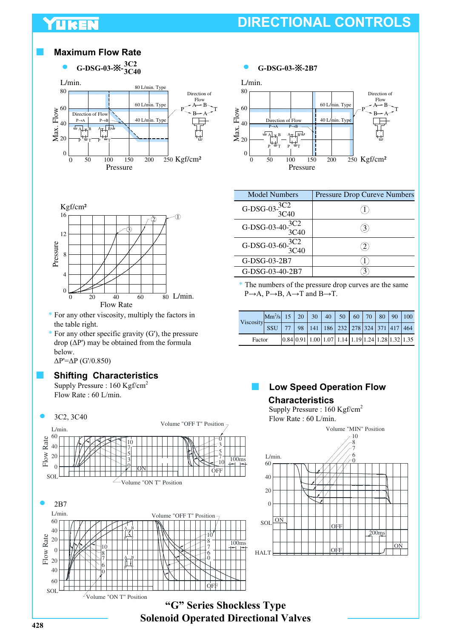## YUKEN

# **DIRECTIONAL CONTROLS**

#### ■ **Maximum Flow Rate**







- \* For any other viscosity, multiply the factors in the table right.
- $*$  For any other specific gravity (G'), the pressure drop (∆P') may be obtained from the formula below.

∆P'=∆P (G'/0.850)

#### **Shifting Characteristics**

Supply Pressure : 160 Kgf/cm<sup>2</sup> Flow Rate : 60 L/min.





| Model Numbers                   | <b>Pressure Drop Cureve Numbers</b> |
|---------------------------------|-------------------------------------|
| G-DSG-03- $\frac{3C2}{3C40}$    |                                     |
| G-DSG-03-40- $\frac{3C2}{3C40}$ |                                     |
| G-DSG-03-60 $\frac{3C2}{3C40}$  |                                     |
| G-DSG-03-2B7                    |                                     |
| G-DSG-03-40-2B7                 |                                     |

\* The numbers of the pressure drop curves are the same  $P\rightarrow A$ ,  $P\rightarrow B$ ,  $A\rightarrow T$  and  $B\rightarrow T$ .

| Viscosity | $\text{Mm}^2\text{/s}$ 15   20   30   40   50   60   70   80   90   100 |  |  |                                                                                                                                |  |  |  |
|-----------|-------------------------------------------------------------------------|--|--|--------------------------------------------------------------------------------------------------------------------------------|--|--|--|
|           | SSU                                                                     |  |  | 98 141 186 232 278 324 371 417 464                                                                                             |  |  |  |
| Factor    |                                                                         |  |  | $\left  0.84 \right  0.91 \left  1.00 \right  1.07 \left  1.14 \right  1.19 \left  1.24 \right  1.28 \left  1.32 \right  1.35$ |  |  |  |

#### **Low Speed Operation Flow Characteristics**

Supply Pressure : 160 Kgf/cm<sup>2</sup> Flow Rate : 60 L/min.



**"G" Series Shockless Type Solenoid Operated Directional Valves**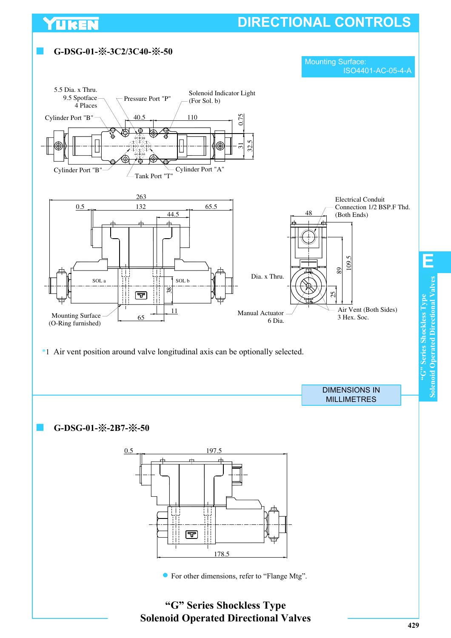# **DIRECTIONAL CONTROLS**



YUKEN

**Solenoid Operated Directional Valves**

**Solenoid Operated Directional Valves Solenoid Operated Directional Valv** "G" Series Shockless Type **"G" Series Shockless Type**

**E**